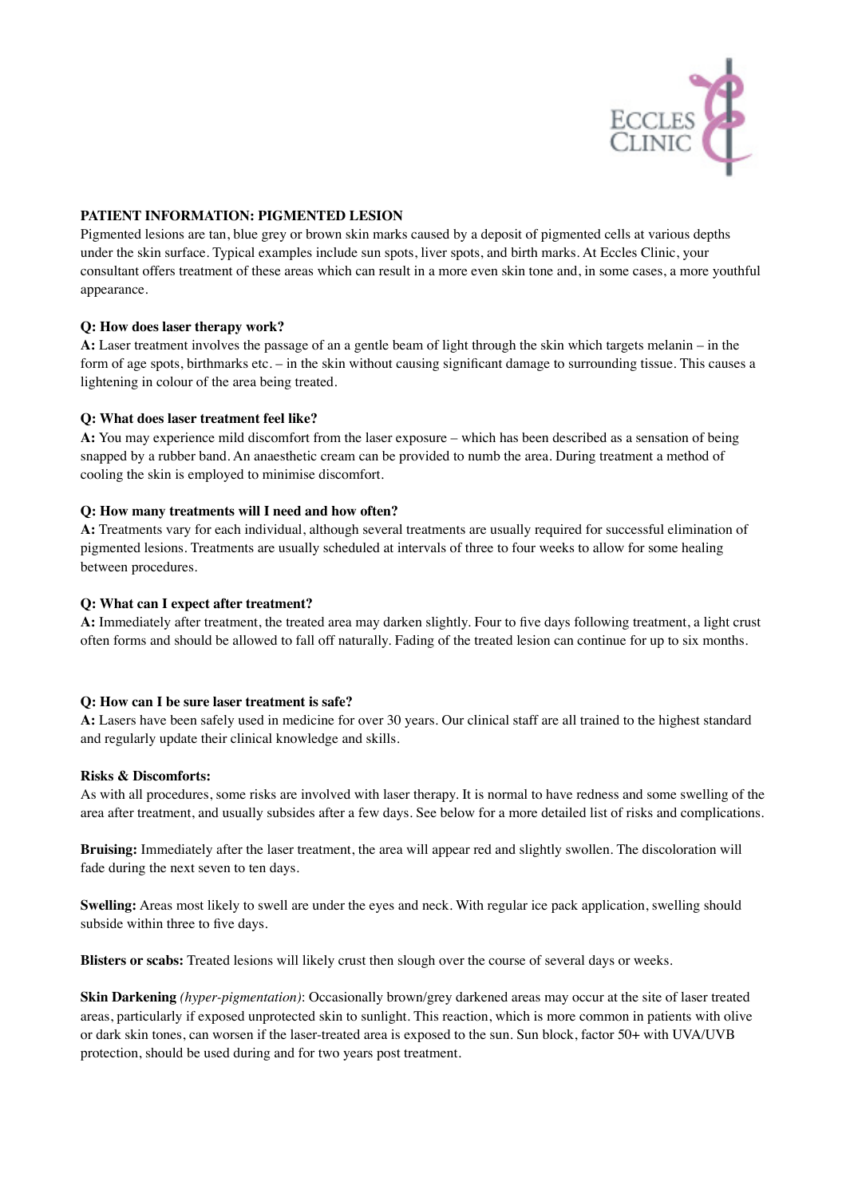

# **PATIENT INFORMATION: PIGMENTED LESION**

Pigmented lesions are tan, blue grey or brown skin marks caused by a deposit of pigmented cells at various depths under the skin surface. Typical examples include sun spots, liver spots, and birth marks. At Eccles Clinic, your consultant offers treatment of these areas which can result in a more even skin tone and, in some cases, a more youthful appearance.

## **Q: How does laser therapy work?**

**A:** Laser treatment involves the passage of an a gentle beam of light through the skin which targets melanin – in the form of age spots, birthmarks etc. – in the skin without causing significant damage to surrounding tissue. This causes a lightening in colour of the area being treated.

## **Q: What does laser treatment feel like?**

**A:** You may experience mild discomfort from the laser exposure – which has been described as a sensation of being snapped by a rubber band. An anaesthetic cream can be provided to numb the area. During treatment a method of cooling the skin is employed to minimise discomfort.

#### **Q: How many treatments will I need and how often?**

**A:** Treatments vary for each individual, although several treatments are usually required for successful elimination of pigmented lesions. Treatments are usually scheduled at intervals of three to four weeks to allow for some healing between procedures.

### **Q: What can I expect after treatment?**

**A:** Immediately after treatment, the treated area may darken slightly. Four to five days following treatment, a light crust often forms and should be allowed to fall off naturally. Fading of the treated lesion can continue for up to six months.

#### **Q: How can I be sure laser treatment is safe?**

**A:** Lasers have been safely used in medicine for over 30 years. Our clinical staff are all trained to the highest standard and regularly update their clinical knowledge and skills.

#### **Risks & Discomforts:**

As with all procedures, some risks are involved with laser therapy. It is normal to have redness and some swelling of the area after treatment, and usually subsides after a few days. See below for a more detailed list of risks and complications.

**Bruising:** Immediately after the laser treatment, the area will appear red and slightly swollen. The discoloration will fade during the next seven to ten days.

**Swelling:** Areas most likely to swell are under the eyes and neck. With regular ice pack application, swelling should subside within three to five days.

**Blisters or scabs:** Treated lesions will likely crust then slough over the course of several days or weeks.

**Skin Darkening** *(hyper-pigmentation)*: Occasionally brown/grey darkened areas may occur at the site of laser treated areas, particularly if exposed unprotected skin to sunlight. This reaction, which is more common in patients with olive or dark skin tones, can worsen if the laser-treated area is exposed to the sun. Sun block, factor 50+ with UVA/UVB protection, should be used during and for two years post treatment.